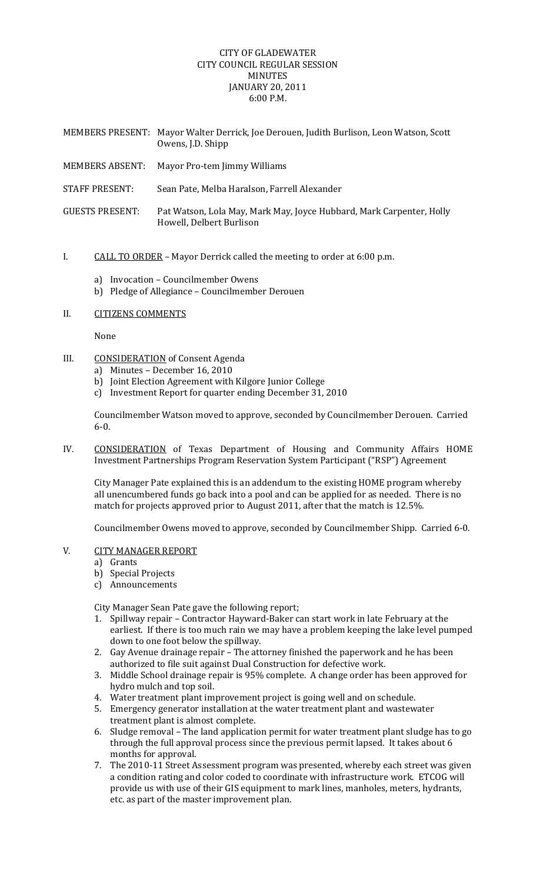## CITY OF GLADEWATER CITY COUNCIL REGULAR SESSION MINUTES JANUARY 20, 2011 6:00 P.M.

|                        | MEMBERS PRESENT: Mayor Walter Derrick, Joe Derouen, Judith Burlison, Leon Watson, Scott<br>Owens, J.D. Shipp |
|------------------------|--------------------------------------------------------------------------------------------------------------|
| <b>MEMBERS ABSENT:</b> | Mayor Pro-tem Jimmy Williams                                                                                 |
| STAFF PRESENT:         | Sean Pate, Melba Haralson, Farrell Alexander                                                                 |
| <b>GUESTS PRESENT:</b> | Pat Watson, Lola May, Mark May, Joyce Hubbard, Mark Carpenter, Holly<br>Howell, Delbert Burlison             |

## I. CALL TO ORDER – Mayor Derrick called the meeting to order at 6:00 p.m.

- a) Invocation Councilmember Owens
- b) Pledge of Allegiance Councilmember Derouen
- II. CITIZENS COMMENTS

None

- III. CONSIDERATION of Consent Agenda
	- a) Minutes December 16, 2010
	- b) Joint Election Agreement with Kilgore Junior College
	- c) Investment Report for quarter ending December 31, 2010

Councilmember Watson moved to approve, seconded by Councilmember Derouen. Carried 6‐0.

IV. CONSIDERATION of Texas Department of Housing and Community Affairs HOME Investment Partnerships Program Reservation System Participant ("RSP") Agreement

City Manager Pate explained this is an addendum to the existing HOME program whereby all unencumbered funds go back into a pool and can be applied for as needed. There is no match for projects approved prior to August 2011, after that the match is 12.5%.

Councilmember Owens moved to approve, seconded by Councilmember Shipp. Carried 6‐0.

## V. CITY MANAGER REPORT

a) Grants

- b) Special Projects
- c) Announcements

City Manager Sean Pate gave the following report;

- 1. Spillway repair Contractor Hayward‐Baker can start work in late February at the earliest. If there is too much rain we may have a problem keeping the lake level pumped down to one foot below the spillway.
- 2. Gay Avenue drainage repair The attorney finished the paperwork and he has been authorized to file suit against Dual Construction for defective work.
- 3. Middle School drainage repair is 95% complete. A change order has been approved for hydro mulch and top soil.
- 4. Water treatment plant improvement project is going well and on schedule.
- 5. Emergency generator installation at the water treatment plant and wastewater treatment plant is almost complete.
- 6. Sludge removal The land application permit for water treatment plant sludge has to go through the full approval process since the previous permit lapsed. It takes about 6 months for approval.
- 7. The 2010-11 Street Assessment program was presented, whereby each street was given a condition rating and color coded to coordinate with infrastructure work. ETCOG will provide us with use of their GIS equipment to mark lines, manholes, meters, hydrants, etc. as part of the master improvement plan.